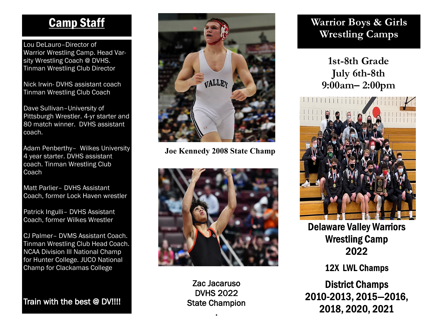Lou DeLauro–Director of Warrior Wrestling Camp. Head Varsity Wrestling Coach @ DVHS. Tinman Wrestling Club Director

Nick Irwin- DVHS assistant coach Tinman Wrestling Club Coach

Dave Sullivan–University of Pittsburgh Wrestler. 4-yr starter and 80 match winner. DVHS assistant coach.

Adam Penberthy– Wilkes University 4 year starter. DVHS assistant coach. Tinman Wrestling Club **Coach** 

Matt Parlier– DVHS Assistant Coach, former Lock Haven wrestler

Patrick Ingulli– DVHS Assistant Coach, former Wilkes Wrestler

CJ Palmer– DVMS Assistant Coach. Tinman Wrestling Club Head Coach. NCAA Division III National Champ for Hunter College. JUCO National Champ for Clackamas College

Train with the best @ DV!!!!



**Joe Kennedy 2008 State Champ**



Zac Jacaruso DVHS 2022 State Champion .

# **Wrestling Camps**

**1st-8th Grade July 6th-8th 9:00am– 2:00pm**



**Delaware Valley Warriors Wrestling Camp** 2022

**12X LWL Champs** 

**District Champs** 2010-2013, 2015-2016, 2018, 2020, 2021